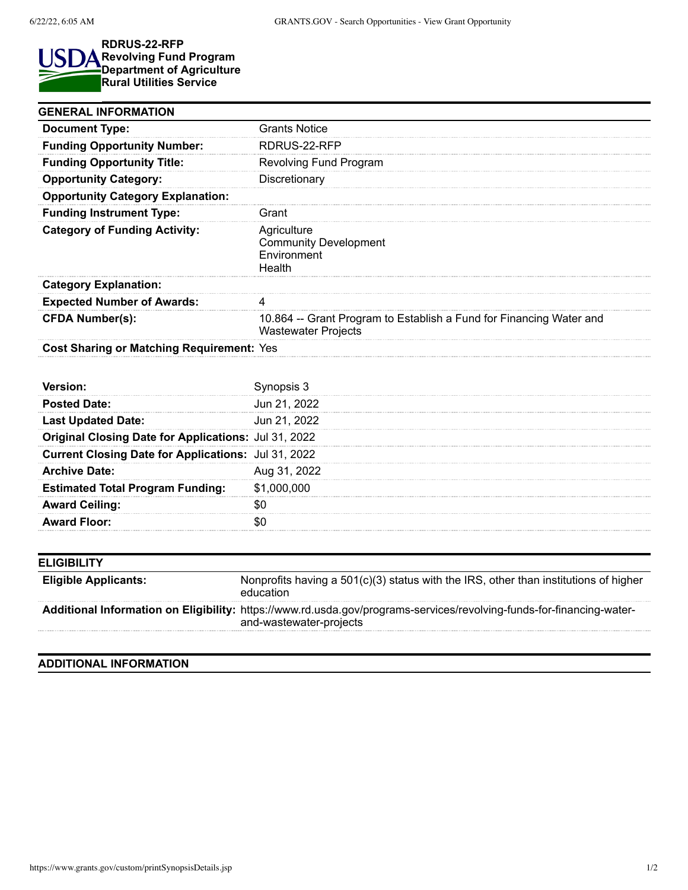## **RDRUS-22-RFP** ISI **Revolving Fund Program Department of Agriculture Rural Utilities Service**

| <b>GENERAL INFORMATION</b>                          |                                                                                                   |
|-----------------------------------------------------|---------------------------------------------------------------------------------------------------|
| <b>Document Type:</b>                               | <b>Grants Notice</b>                                                                              |
| <b>Funding Opportunity Number:</b>                  | RDRUS-22-RFP                                                                                      |
| <b>Funding Opportunity Title:</b>                   | Revolving Fund Program                                                                            |
| <b>Opportunity Category:</b>                        | Discretionary                                                                                     |
| <b>Opportunity Category Explanation:</b>            |                                                                                                   |
| <b>Funding Instrument Type:</b>                     | Grant                                                                                             |
| <b>Category of Funding Activity:</b>                | Agriculture<br><b>Community Development</b><br>Environment<br>Health                              |
| <b>Category Explanation:</b>                        |                                                                                                   |
| <b>Expected Number of Awards:</b>                   | 4                                                                                                 |
| <b>CFDA Number(s):</b>                              | 10.864 -- Grant Program to Establish a Fund for Financing Water and<br><b>Wastewater Projects</b> |
| <b>Cost Sharing or Matching Requirement: Yes</b>    |                                                                                                   |
|                                                     |                                                                                                   |
| Version:                                            | Synopsis 3                                                                                        |
| <b>Posted Date:</b>                                 | Jun 21, 2022                                                                                      |
| <b>Last Updated Date:</b>                           | Jun 21, 2022                                                                                      |
| <b>Original Closing Date for Applications:</b>      | Jul 31, 2022                                                                                      |
| Current Closing Date for Applications: Jul 31, 2022 |                                                                                                   |
| <b>Archive Date:</b>                                | Aug 31, 2022                                                                                      |
| <b>Estimated Total Program Funding:</b>             | \$1,000,000                                                                                       |
| <b>Award Ceiling:</b>                               | \$0                                                                                               |
| <b>Award Floor:</b>                                 | \$0                                                                                               |
|                                                     |                                                                                                   |
| <b>ELIGIBILITY</b>                                  |                                                                                                   |
| <b>Eligible Applicants:</b>                         | Nonprofits having a 501(c)(3) status with the IRS, other than institutions of higher<br>education |
|                                                     |                                                                                                   |

## **ADDITIONAL INFORMATION**